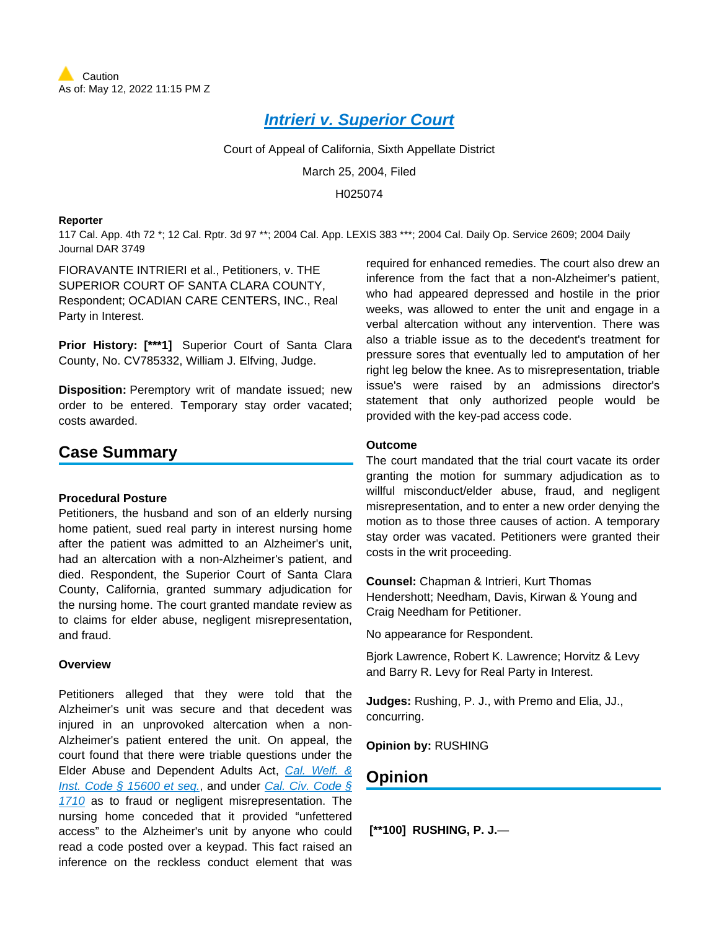# **[Intrieri v. Superior Court](https://plus.lexis.com/api/document?collection=cases&id=urn:contentItem:4C12-S7N0-0039-4278-00000-00&context=1530671)**

Court of Appeal of California, Sixth Appellate District

March 25, 2004, Filed

H025074

#### **Reporter**

117 Cal. App. 4th 72 \*; 12 Cal. Rptr. 3d 97 \*\*; 2004 Cal. App. LEXIS 383 \*\*\*; 2004 Cal. Daily Op. Service 2609; 2004 Daily Journal DAR 3749

FIORAVANTE INTRIERI et al., Petitioners, v. THE SUPERIOR COURT OF SANTA CLARA COUNTY, Respondent; OCADIAN CARE CENTERS, INC., Real Party in Interest.

**Prior History: [\*\*\*1]** Superior Court of Santa Clara County, No. CV785332, William J. Elfving, Judge.

**Disposition:** Peremptory writ of mandate issued; new order to be entered. Temporary stay order vacated; costs awarded.

## **Case Summary**

## **Procedural Posture**

Petitioners, the husband and son of an elderly nursing home patient, sued real party in interest nursing home after the patient was admitted to an Alzheimer's unit, had an altercation with a non-Alzheimer's patient, and died. Respondent, the Superior Court of Santa Clara County, California, granted summary adjudication for the nursing home. The court granted mandate review as to claims for elder abuse, negligent misrepresentation, and fraud.

## **Overview**

Petitioners alleged that they were told that the Alzheimer's unit was secure and that decedent was injured in an unprovoked altercation when a non-Alzheimer's patient entered the unit. On appeal, the court found that there were triable questions under the Elder Abuse and Dependent Adults Act, [Cal. Welf. &](https://plus.lexis.com/api/document?collection=statutes-legislation&id=urn:contentItem:5JX4-B0D1-66B9-80G9-00000-00&context=1530671)  [Inst. Code § 15600 et seq.](https://plus.lexis.com/api/document?collection=statutes-legislation&id=urn:contentItem:5JX4-B0D1-66B9-80G9-00000-00&context=1530671), and under Cal. Civ. Code § [1710](https://plus.lexis.com/api/document?collection=statutes-legislation&id=urn:contentItem:5J6R-DR41-66B9-80JD-00000-00&context=1530671) as to fraud or negligent misrepresentation. The nursing home conceded that it provided "unfettered access" to the Alzheimer's unit by anyone who could read a code posted over a keypad. This fact raised an inference on the reckless conduct element that was

required for enhanced remedies. The court also drew an inference from the fact that a non-Alzheimer's patient, who had appeared depressed and hostile in the prior weeks, was allowed to enter the unit and engage in a verbal altercation without any intervention. There was also a triable issue as to the decedent's treatment for pressure sores that eventually led to amputation of her right leg below the knee. As to misrepresentation, triable issue's were raised by an admissions director's statement that only authorized people would be provided with the key-pad access code.

#### **Outcome**

The court mandated that the trial court vacate its order granting the motion for summary adjudication as to willful misconduct/elder abuse, fraud, and negligent misrepresentation, and to enter a new order denying the motion as to those three causes of action. A temporary stay order was vacated. Petitioners were granted their costs in the writ proceeding.

**Counsel:** Chapman & Intrieri, Kurt Thomas Hendershott; Needham, Davis, Kirwan & Young and Craig Needham for Petitioner.

No appearance for Respondent.

Bjork Lawrence, Robert K. Lawrence; Horvitz & Levy and Barry R. Levy for Real Party in Interest.

**Judges:** Rushing, P. J., with Premo and Elia, JJ., concurring.

**Opinion by:** RUSHING

## **Opinion**

 **[\*\*100] RUSHING, P. J.**—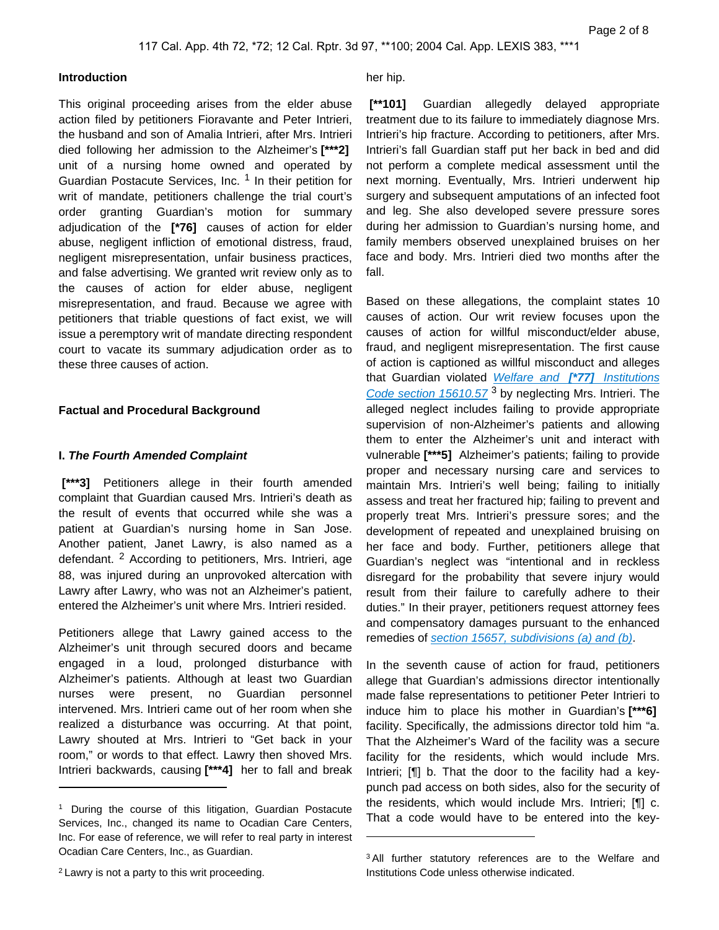#### **Introduction**

This original proceeding arises from the elder abuse action filed by petitioners Fioravante and Peter Intrieri, the husband and son of Amalia Intrieri, after Mrs. Intrieri died following her admission to the Alzheimer's **[\*\*\*2]**  unit of a nursing home owned and operated by Guardian Postacute Services, Inc. <sup>1</sup> In their petition for writ of mandate, petitioners challenge the trial court's order granting Guardian's motion for summary adjudication of the **[\*76]** causes of action for elder abuse, negligent infliction of emotional distress, fraud, negligent misrepresentation, unfair business practices, and false advertising. We granted writ review only as to the causes of action for elder abuse, negligent misrepresentation, and fraud. Because we agree with petitioners that triable questions of fact exist, we will issue a peremptory writ of mandate directing respondent court to vacate its summary adjudication order as to these three causes of action.

## **Factual and Procedural Background**

#### **I. The Fourth Amended Complaint**

 **[\*\*\*3]** Petitioners allege in their fourth amended complaint that Guardian caused Mrs. Intrieri's death as the result of events that occurred while she was a patient at Guardian's nursing home in San Jose. Another patient, Janet Lawry, is also named as a defendant. <sup>2</sup> According to petitioners, Mrs. Intrieri, age 88, was injured during an unprovoked altercation with Lawry after Lawry, who was not an Alzheimer's patient, entered the Alzheimer's unit where Mrs. Intrieri resided.

Petitioners allege that Lawry gained access to the Alzheimer's unit through secured doors and became engaged in a loud, prolonged disturbance with Alzheimer's patients. Although at least two Guardian nurses were present, no Guardian personnel intervened. Mrs. Intrieri came out of her room when she realized a disturbance was occurring. At that point, Lawry shouted at Mrs. Intrieri to "Get back in your room," or words to that effect. Lawry then shoved Mrs. Intrieri backwards, causing **[\*\*\*4]** her to fall and break

#### her hip.

 **[\*\*101]** Guardian allegedly delayed appropriate treatment due to its failure to immediately diagnose Mrs. Intrieri's hip fracture. According to petitioners, after Mrs. Intrieri's fall Guardian staff put her back in bed and did not perform a complete medical assessment until the next morning. Eventually, Mrs. Intrieri underwent hip surgery and subsequent amputations of an infected foot and leg. She also developed severe pressure sores during her admission to Guardian's nursing home, and family members observed unexplained bruises on her face and body. Mrs. Intrieri died two months after the fall.

Based on these allegations, the complaint states 10 causes of action. Our writ review focuses upon the causes of action for willful misconduct/elder abuse, fraud, and negligent misrepresentation. The first cause of action is captioned as willful misconduct and alleges that Guardian violated [Welfare and](https://plus.lexis.com/api/document?collection=statutes-legislation&id=urn:contentItem:639N-5N23-CH1B-T3HD-00000-00&context=1530671) **[\*77]** Institutions [Code section 15610.57](https://plus.lexis.com/api/document?collection=statutes-legislation&id=urn:contentItem:639N-5N23-CH1B-T3HD-00000-00&context=1530671)<sup>3</sup> by neglecting Mrs. Intrieri. The alleged neglect includes failing to provide appropriate supervision of non-Alzheimer's patients and allowing them to enter the Alzheimer's unit and interact with vulnerable **[\*\*\*5]** Alzheimer's patients; failing to provide proper and necessary nursing care and services to maintain Mrs. Intrieri's well being; failing to initially assess and treat her fractured hip; failing to prevent and properly treat Mrs. Intrieri's pressure sores; and the development of repeated and unexplained bruising on her face and body. Further, petitioners allege that Guardian's neglect was "intentional and in reckless disregard for the probability that severe injury would result from their failure to carefully adhere to their duties." In their prayer, petitioners request attorney fees and compensatory damages pursuant to the enhanced remedies of [section 15657, subdivisions \(a\) and \(b\)](https://plus.lexis.com/api/document?collection=statutes-legislation&id=urn:contentItem:8VTM-SNJ2-D6RV-H183-00000-00&context=1530671).

In the seventh cause of action for fraud, petitioners allege that Guardian's admissions director intentionally made false representations to petitioner Peter Intrieri to induce him to place his mother in Guardian's **[\*\*\*6]**  facility. Specifically, the admissions director told him "a. That the Alzheimer's Ward of the facility was a secure facility for the residents, which would include Mrs. Intrieri; [¶] b. That the door to the facility had a keypunch pad access on both sides, also for the security of the residents, which would include Mrs. Intrieri; [¶] c. That a code would have to be entered into the key-

<sup>&</sup>lt;sup>1</sup> During the course of this litigation, Guardian Postacute Services, Inc., changed its name to Ocadian Care Centers, Inc. For ease of reference, we will refer to real party in interest Ocadian Care Centers, Inc., as Guardian.

<sup>2</sup>Lawry is not a party to this writ proceeding.

<sup>3</sup>All further statutory references are to the Welfare and Institutions Code unless otherwise indicated.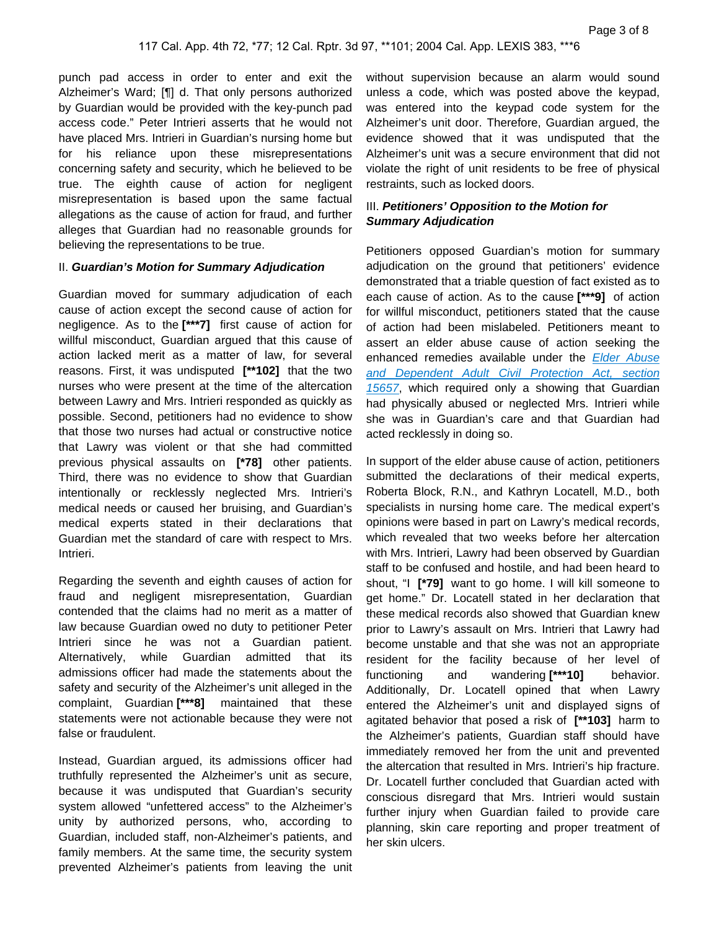punch pad access in order to enter and exit the Alzheimer's Ward; [¶] d. That only persons authorized by Guardian would be provided with the key-punch pad access code." Peter Intrieri asserts that he would not have placed Mrs. Intrieri in Guardian's nursing home but for his reliance upon these misrepresentations concerning safety and security, which he believed to be true. The eighth cause of action for negligent misrepresentation is based upon the same factual allegations as the cause of action for fraud, and further alleges that Guardian had no reasonable grounds for believing the representations to be true.

#### II. **Guardian's Motion for Summary Adjudication**

Guardian moved for summary adjudication of each cause of action except the second cause of action for negligence. As to the **[\*\*\*7]** first cause of action for willful misconduct, Guardian argued that this cause of action lacked merit as a matter of law, for several reasons. First, it was undisputed **[\*\*102]** that the two nurses who were present at the time of the altercation between Lawry and Mrs. Intrieri responded as quickly as possible. Second, petitioners had no evidence to show that those two nurses had actual or constructive notice that Lawry was violent or that she had committed previous physical assaults on **[\*78]** other patients. Third, there was no evidence to show that Guardian intentionally or recklessly neglected Mrs. Intrieri's medical needs or caused her bruising, and Guardian's medical experts stated in their declarations that Guardian met the standard of care with respect to Mrs. Intrieri.

Regarding the seventh and eighth causes of action for fraud and negligent misrepresentation, Guardian contended that the claims had no merit as a matter of law because Guardian owed no duty to petitioner Peter Intrieri since he was not a Guardian patient. Alternatively, while Guardian admitted that its admissions officer had made the statements about the safety and security of the Alzheimer's unit alleged in the complaint, Guardian **[\*\*\*8]** maintained that these statements were not actionable because they were not false or fraudulent.

Instead, Guardian argued, its admissions officer had truthfully represented the Alzheimer's unit as secure, because it was undisputed that Guardian's security system allowed "unfettered access" to the Alzheimer's unity by authorized persons, who, according to Guardian, included staff, non-Alzheimer's patients, and family members. At the same time, the security system prevented Alzheimer's patients from leaving the unit

without supervision because an alarm would sound unless a code, which was posted above the keypad, was entered into the keypad code system for the Alzheimer's unit door. Therefore, Guardian argued, the evidence showed that it was undisputed that the Alzheimer's unit was a secure environment that did not violate the right of unit residents to be free of physical restraints, such as locked doors.

## III. **Petitioners' Opposition to the Motion for Summary Adjudication**

Petitioners opposed Guardian's motion for summary adjudication on the ground that petitioners' evidence demonstrated that a triable question of fact existed as to each cause of action. As to the cause **[\*\*\*9]** of action for willful misconduct, petitioners stated that the cause of action had been mislabeled. Petitioners meant to assert an elder abuse cause of action seeking the enhanced remedies available under the Elder Abuse [and Dependent Adult Civil Protection Act, section](https://plus.lexis.com/api/document?collection=statutes-legislation&id=urn:contentItem:8VTM-SNJ2-D6RV-H183-00000-00&context=1530671)  [15657](https://plus.lexis.com/api/document?collection=statutes-legislation&id=urn:contentItem:8VTM-SNJ2-D6RV-H183-00000-00&context=1530671), which required only a showing that Guardian had physically abused or neglected Mrs. Intrieri while she was in Guardian's care and that Guardian had acted recklessly in doing so.

In support of the elder abuse cause of action, petitioners submitted the declarations of their medical experts, Roberta Block, R.N., and Kathryn Locatell, M.D., both specialists in nursing home care. The medical expert's opinions were based in part on Lawry's medical records, which revealed that two weeks before her altercation with Mrs. Intrieri, Lawry had been observed by Guardian staff to be confused and hostile, and had been heard to shout, "I **[\*79]** want to go home. I will kill someone to get home." Dr. Locatell stated in her declaration that these medical records also showed that Guardian knew prior to Lawry's assault on Mrs. Intrieri that Lawry had become unstable and that she was not an appropriate resident for the facility because of her level of functioning and wandering **[\*\*\*10]** behavior. Additionally, Dr. Locatell opined that when Lawry entered the Alzheimer's unit and displayed signs of agitated behavior that posed a risk of **[\*\*103]** harm to the Alzheimer's patients, Guardian staff should have immediately removed her from the unit and prevented the altercation that resulted in Mrs. Intrieri's hip fracture. Dr. Locatell further concluded that Guardian acted with conscious disregard that Mrs. Intrieri would sustain further injury when Guardian failed to provide care planning, skin care reporting and proper treatment of her skin ulcers.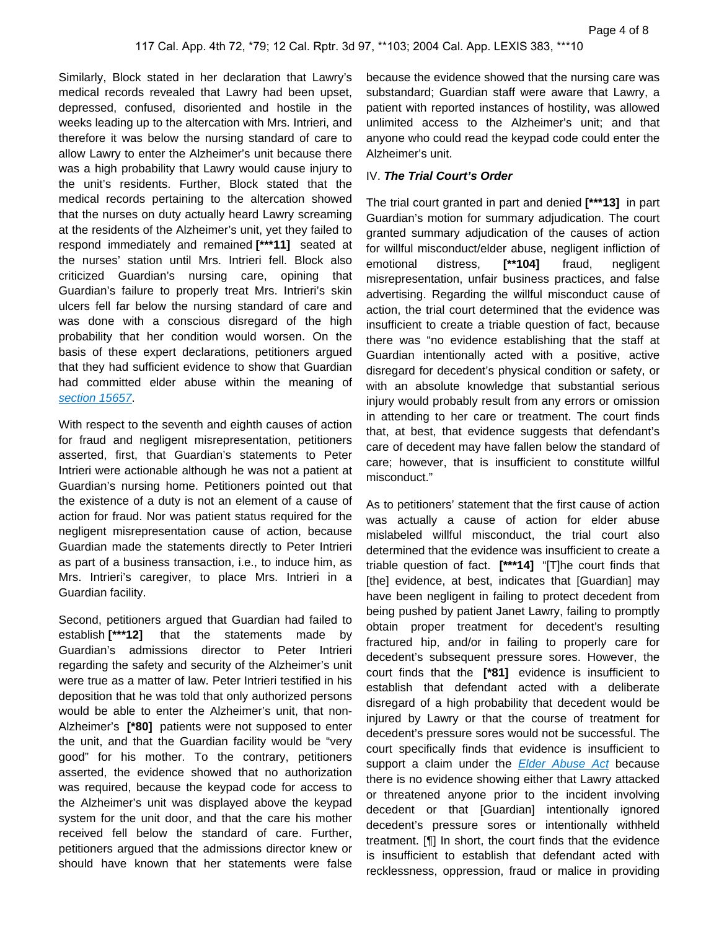Similarly, Block stated in her declaration that Lawry's medical records revealed that Lawry had been upset, depressed, confused, disoriented and hostile in the weeks leading up to the altercation with Mrs. Intrieri, and therefore it was below the nursing standard of care to allow Lawry to enter the Alzheimer's unit because there was a high probability that Lawry would cause injury to the unit's residents. Further, Block stated that the medical records pertaining to the altercation showed that the nurses on duty actually heard Lawry screaming at the residents of the Alzheimer's unit, yet they failed to respond immediately and remained **[\*\*\*11]** seated at the nurses' station until Mrs. Intrieri fell. Block also criticized Guardian's nursing care, opining that Guardian's failure to properly treat Mrs. Intrieri's skin ulcers fell far below the nursing standard of care and was done with a conscious disregard of the high probability that her condition would worsen. On the basis of these expert declarations, petitioners argued that they had sufficient evidence to show that Guardian had committed elder abuse within the meaning of [section 15657](https://plus.lexis.com/api/document?collection=statutes-legislation&id=urn:contentItem:8VTM-SNJ2-D6RV-H183-00000-00&context=1530671).

With respect to the seventh and eighth causes of action for fraud and negligent misrepresentation, petitioners asserted, first, that Guardian's statements to Peter Intrieri were actionable although he was not a patient at Guardian's nursing home. Petitioners pointed out that the existence of a duty is not an element of a cause of action for fraud. Nor was patient status required for the negligent misrepresentation cause of action, because Guardian made the statements directly to Peter Intrieri as part of a business transaction, i.e., to induce him, as Mrs. Intrieri's caregiver, to place Mrs. Intrieri in a Guardian facility.

Second, petitioners argued that Guardian had failed to establish **[\*\*\*12]** that the statements made by Guardian's admissions director to Peter Intrieri regarding the safety and security of the Alzheimer's unit were true as a matter of law. Peter Intrieri testified in his deposition that he was told that only authorized persons would be able to enter the Alzheimer's unit, that non-Alzheimer's **[\*80]** patients were not supposed to enter the unit, and that the Guardian facility would be "very good" for his mother. To the contrary, petitioners asserted, the evidence showed that no authorization was required, because the keypad code for access to the Alzheimer's unit was displayed above the keypad system for the unit door, and that the care his mother received fell below the standard of care. Further, petitioners argued that the admissions director knew or should have known that her statements were false

because the evidence showed that the nursing care was substandard; Guardian staff were aware that Lawry, a patient with reported instances of hostility, was allowed unlimited access to the Alzheimer's unit; and that anyone who could read the keypad code could enter the Alzheimer's unit.

## IV. **The Trial Court's Order**

The trial court granted in part and denied **[\*\*\*13]** in part Guardian's motion for summary adjudication. The court granted summary adjudication of the causes of action for willful misconduct/elder abuse, negligent infliction of emotional distress, **[\*\*104]** fraud, negligent misrepresentation, unfair business practices, and false advertising. Regarding the willful misconduct cause of action, the trial court determined that the evidence was insufficient to create a triable question of fact, because there was "no evidence establishing that the staff at Guardian intentionally acted with a positive, active disregard for decedent's physical condition or safety, or with an absolute knowledge that substantial serious injury would probably result from any errors or omission in attending to her care or treatment. The court finds that, at best, that evidence suggests that defendant's care of decedent may have fallen below the standard of care; however, that is insufficient to constitute willful misconduct."

As to petitioners' statement that the first cause of action was actually a cause of action for elder abuse mislabeled willful misconduct, the trial court also determined that the evidence was insufficient to create a triable question of fact. **[\*\*\*14]** "[T]he court finds that [the] evidence, at best, indicates that [Guardian] may have been negligent in failing to protect decedent from being pushed by patient Janet Lawry, failing to promptly obtain proper treatment for decedent's resulting fractured hip, and/or in failing to properly care for decedent's subsequent pressure sores. However, the court finds that the **[\*81]** evidence is insufficient to establish that defendant acted with a deliberate disregard of a high probability that decedent would be injured by Lawry or that the course of treatment for decedent's pressure sores would not be successful. The court specifically finds that evidence is insufficient to support a claim under the [Elder Abuse Act](https://plus.lexis.com/api/document?collection=statutes-legislation&id=urn:contentItem:5JX4-B0D1-66B9-80G9-00000-00&context=1530671) because there is no evidence showing either that Lawry attacked or threatened anyone prior to the incident involving decedent or that [Guardian] intentionally ignored decedent's pressure sores or intentionally withheld treatment. [¶] In short, the court finds that the evidence is insufficient to establish that defendant acted with recklessness, oppression, fraud or malice in providing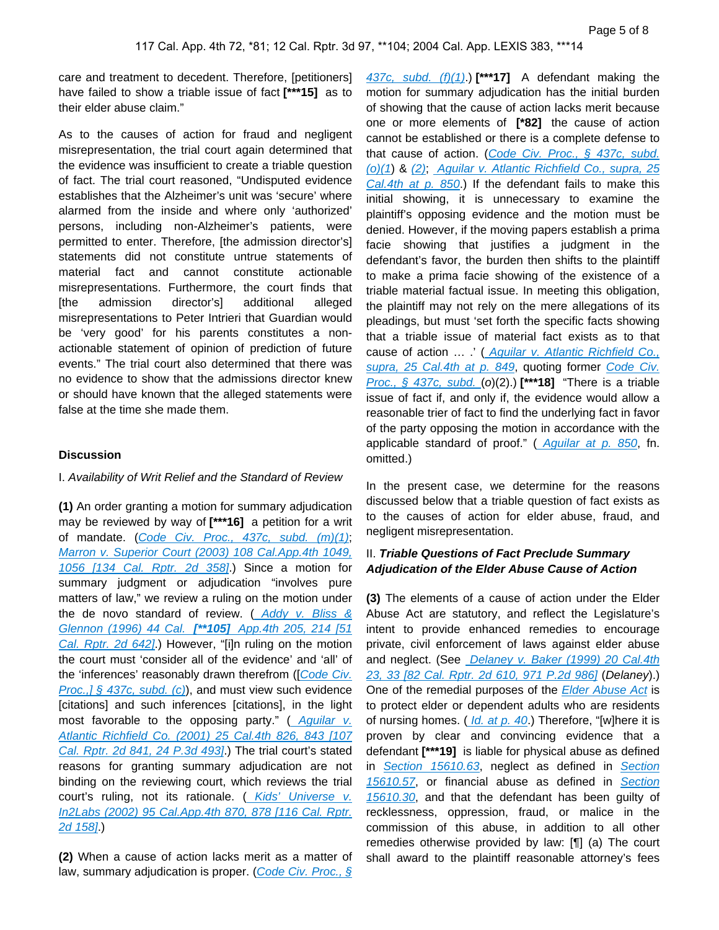care and treatment to decedent. Therefore, [petitioners] have failed to show a triable issue of fact **[\*\*\*15]** as to their elder abuse claim."

As to the causes of action for fraud and negligent misrepresentation, the trial court again determined that the evidence was insufficient to create a triable question of fact. The trial court reasoned, "Undisputed evidence establishes that the Alzheimer's unit was 'secure' where alarmed from the inside and where only 'authorized' persons, including non-Alzheimer's patients, were permitted to enter. Therefore, [the admission director's] statements did not constitute untrue statements of material fact and cannot constitute actionable misrepresentations. Furthermore, the court finds that [the admission director's] additional alleged misrepresentations to Peter Intrieri that Guardian would be 'very good' for his parents constitutes a nonactionable statement of opinion of prediction of future events." The trial court also determined that there was no evidence to show that the admissions director knew or should have known that the alleged statements were false at the time she made them.

#### **Discussion**

#### I. Availability of Writ Relief and the Standard of Review

**(1)** An order granting a motion for summary adjudication may be reviewed by way of **[\*\*\*16]** a petition for a writ of mandate. ([Code Civ. Proc., 437c, subd. \(m\)\(1\)](https://plus.lexis.com/api/document?collection=statutes-legislation&id=urn:contentItem:8MTV-2K82-D6RV-H4FD-00000-00&context=1530671); [Marron v. Superior Court \(2003\) 108 Cal.App.4th 1049,](https://plus.lexis.com/api/document?collection=cases&id=urn:contentItem:48N5-T3R0-0039-43B6-00000-00&context=1530671)  [1056 \[134 Cal. Rptr. 2d 358\]](https://plus.lexis.com/api/document?collection=cases&id=urn:contentItem:48N5-T3R0-0039-43B6-00000-00&context=1530671).) Since a motion for summary judgment or adjudication "involves pure matters of law," we review a ruling on the motion under the de novo standard of review.  $($  Addy v. Bliss & [Glennon \(1996\) 44 Cal.](https://plus.lexis.com/api/document?collection=cases&id=urn:contentItem:3RX6-FB70-003D-J38D-00000-00&context=1530671) **[\*\*105]** App.4th 205, 214 [51 [Cal. Rptr. 2d 642\]](https://plus.lexis.com/api/document?collection=cases&id=urn:contentItem:3RX6-FB70-003D-J38D-00000-00&context=1530671).) However, "[i]n ruling on the motion the court must 'consider all of the evidence' and 'all' of the 'inferences' reasonably drawn therefrom ([Code Civ. Proc.,]  $§$  437c, subd. (c)), and must view such evidence [citations] and such inferences [citations], in the light most favorable to the opposing party." ( Aguilar v. [Atlantic Richfield Co. \(2001\) 25 Cal.4th 826, 843 \[107](https://plus.lexis.com/api/document?collection=cases&id=urn:contentItem:438K-CWG0-0039-443C-00000-00&context=1530671)  [Cal. Rptr. 2d 841, 24 P.3d 493\]](https://plus.lexis.com/api/document?collection=cases&id=urn:contentItem:438K-CWG0-0039-443C-00000-00&context=1530671).) The trial court's stated reasons for granting summary adjudication are not binding on the reviewing court, which reviews the trial court's ruling, not its rationale. ( Kids' Universe v. [In2Labs \(2002\) 95 Cal.App.4th 870, 878 \[116 Cal. Rptr.](https://plus.lexis.com/api/document?collection=cases&id=urn:contentItem:451T-WNG0-0039-4167-00000-00&context=1530671)  [2d 158\]](https://plus.lexis.com/api/document?collection=cases&id=urn:contentItem:451T-WNG0-0039-4167-00000-00&context=1530671).)

**(2)** When a cause of action lacks merit as a matter of law, summary adjudication is proper. (Code Civ. Proc.,  $\S$ 

[437c, subd. \(f\)\(1\)](https://plus.lexis.com/api/document?collection=statutes-legislation&id=urn:contentItem:8MTV-2K82-D6RV-H4FD-00000-00&context=1530671).) **[\*\*\*17]** A defendant making the motion for summary adjudication has the initial burden of showing that the cause of action lacks merit because one or more elements of **[\*82]** the cause of action cannot be established or there is a complete defense to that cause of action. (Code Civ. Proc., § 437c, subd. [\(o\)\(1](https://plus.lexis.com/api/document?collection=statutes-legislation&id=urn:contentItem:8MTV-2K82-D6RV-H4FD-00000-00&context=1530671)) & [\(2\)](https://plus.lexis.com/api/document?collection=statutes-legislation&id=urn:contentItem:8MTV-2K82-D6RV-H4FD-00000-00&context=1530671); [Aguilar v. Atlantic Richfield Co., supra, 25](https://plus.lexis.com/api/document?collection=cases&id=urn:contentItem:438K-CWG0-0039-443C-00000-00&context=1530671)  [Cal.4th at p. 850](https://plus.lexis.com/api/document?collection=cases&id=urn:contentItem:438K-CWG0-0039-443C-00000-00&context=1530671).) If the defendant fails to make this initial showing, it is unnecessary to examine the plaintiff's opposing evidence and the motion must be denied. However, if the moving papers establish a prima facie showing that justifies a judgment in the defendant's favor, the burden then shifts to the plaintiff to make a prima facie showing of the existence of a triable material factual issue. In meeting this obligation, the plaintiff may not rely on the mere allegations of its pleadings, but must 'set forth the specific facts showing that a triable issue of material fact exists as to that cause of action ... .' ( Aguilar v. Atlantic Richfield Co., [supra, 25 Cal.4th at p. 849](https://plus.lexis.com/api/document?collection=cases&id=urn:contentItem:438K-CWG0-0039-443C-00000-00&context=1530671), quoting former Code Civ. [Proc., § 437c, subd.](https://plus.lexis.com/api/document?collection=statutes-legislation&id=urn:contentItem:8MTV-2K82-D6RV-H4FD-00000-00&context=1530671) (o)(2).) **[\*\*\*18]** "There is a triable issue of fact if, and only if, the evidence would allow a reasonable trier of fact to find the underlying fact in favor of the party opposing the motion in accordance with the applicable standard of proof." (Aguilar at p. 850, fn. omitted.)

In the present case, we determine for the reasons discussed below that a triable question of fact exists as to the causes of action for elder abuse, fraud, and negligent misrepresentation.

## II. **Triable Questions of Fact Preclude Summary Adjudication of the Elder Abuse Cause of Action**

**(3)** The elements of a cause of action under the Elder Abuse Act are statutory, and reflect the Legislature's intent to provide enhanced remedies to encourage private, civil enforcement of laws against elder abuse and neglect. (See [Delaney v. Baker \(1999\) 20 Cal.4th](https://plus.lexis.com/api/document?collection=cases&id=urn:contentItem:3VY5-S490-0039-44K5-00000-00&context=1530671)  [23, 33 \[82 Cal. Rptr. 2d 610, 971 P.2d 986\]](https://plus.lexis.com/api/document?collection=cases&id=urn:contentItem:3VY5-S490-0039-44K5-00000-00&context=1530671) (Delaney).) One of the remedial purposes of the **[Elder Abuse Act](https://plus.lexis.com/api/document?collection=statutes-legislation&id=urn:contentItem:5JX4-B0D1-66B9-80G9-00000-00&context=1530671)** is to protect elder or dependent adults who are residents of nursing homes. (*Id. at p. 40.*) Therefore, "[w]here it is proven by clear and convincing evidence that a defendant **[\*\*\*19]** is liable for physical abuse as defined in [Section 15610.63](https://plus.lexis.com/api/document?collection=statutes-legislation&id=urn:contentItem:63MP-XJ13-CH1B-T50G-00000-00&context=1530671), neglect as defined in Section [15610.57](https://plus.lexis.com/api/document?collection=statutes-legislation&id=urn:contentItem:639N-5N23-CH1B-T3HD-00000-00&context=1530671), or financial abuse as defined in Section [15610.30](https://plus.lexis.com/api/document?collection=statutes-legislation&id=urn:contentItem:5JX4-B0D1-66B9-80HN-00000-00&context=1530671), and that the defendant has been guilty of recklessness, oppression, fraud, or malice in the commission of this abuse, in addition to all other remedies otherwise provided by law: [¶] (a) The court shall award to the plaintiff reasonable attorney's fees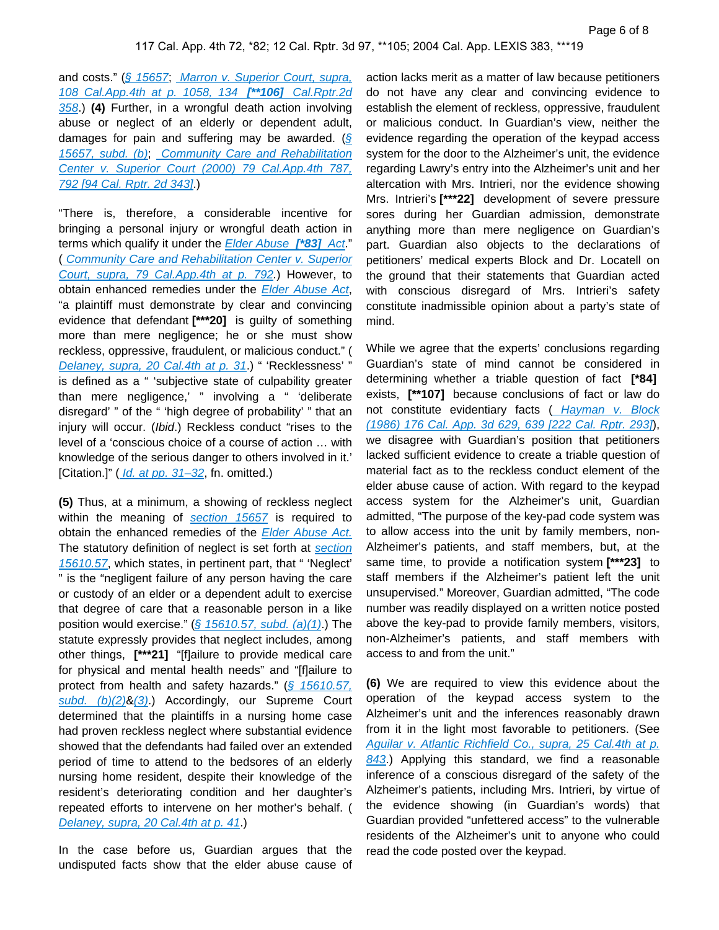and costs." ([§ 15657](https://plus.lexis.com/api/document?collection=statutes-legislation&id=urn:contentItem:8VTM-SNJ2-D6RV-H183-00000-00&context=1530671), Marron v. Superior Court, supra, [108 Cal.App.4th at p. 1058, 134](https://plus.lexis.com/api/document?collection=cases&id=urn:contentItem:48N5-T3R0-0039-43B6-00000-00&context=1530671) **[\*\*106]** Cal.Rptr.2d [358](https://plus.lexis.com/api/document?collection=cases&id=urn:contentItem:48N5-T3R0-0039-43B6-00000-00&context=1530671).) **(4)** Further, in a wrongful death action involving abuse or neglect of an elderly or dependent adult, damages for pain and suffering may be awarded. ( $\sqrt{\xi}$ [15657, subd. \(b\)](https://plus.lexis.com/api/document?collection=statutes-legislation&id=urn:contentItem:8VTM-SNJ2-D6RV-H183-00000-00&context=1530671); Community Care and Rehabilitation [Center v. Superior Court \(2000\) 79 Cal.App.4th 787,](https://plus.lexis.com/api/document?collection=cases&id=urn:contentItem:3YYW-2RV0-0039-43FN-00000-00&context=1530671)  [792 \[94 Cal. Rptr. 2d 343\]](https://plus.lexis.com/api/document?collection=cases&id=urn:contentItem:3YYW-2RV0-0039-43FN-00000-00&context=1530671).)

"There is, therefore, a considerable incentive for bringing a personal injury or wrongful death action in terms which qualify it under the [Elder Abuse](https://plus.lexis.com/api/document?collection=statutes-legislation&id=urn:contentItem:5JX4-B0D1-66B9-80G9-00000-00&context=1530671) **[\*83]** Act." ( [Community Care and Rehabilitation Center v. Superior](https://plus.lexis.com/api/document?collection=cases&id=urn:contentItem:3YYW-2RV0-0039-43FN-00000-00&context=1530671)  [Court, supra, 79 Cal.App.4th at p. 792.](https://plus.lexis.com/api/document?collection=cases&id=urn:contentItem:3YYW-2RV0-0039-43FN-00000-00&context=1530671)) However, to obtain enhanced remedies under the [Elder Abuse Act](https://plus.lexis.com/api/document?collection=statutes-legislation&id=urn:contentItem:5JX4-B0D1-66B9-80G9-00000-00&context=1530671), "a plaintiff must demonstrate by clear and convincing evidence that defendant **[\*\*\*20]** is guilty of something more than mere negligence; he or she must show reckless, oppressive, fraudulent, or malicious conduct." ( [Delaney, supra, 20 Cal.4th at p. 31](https://plus.lexis.com/api/document?collection=cases&id=urn:contentItem:3VY5-S490-0039-44K5-00000-00&context=1530671).) " 'Recklessness' " is defined as a " 'subjective state of culpability greater than mere negligence,' " involving a " 'deliberate disregard' " of the " 'high degree of probability' " that an injury will occur. (Ibid.) Reckless conduct "rises to the level of a 'conscious choice of a course of action … with knowledge of the serious danger to others involved in it.' [Citation.]" ( *Id. at pp. 31–32*, fn. omitted.)

**(5)** Thus, at a minimum, a showing of reckless neglect within the meaning of [section 15657](https://plus.lexis.com/api/document?collection=statutes-legislation&id=urn:contentItem:8VTM-SNJ2-D6RV-H183-00000-00&context=1530671) is required to obtain the enhanced remedies of the Elder Abuse Act. The statutory definition of neglect is set forth at section [15610.57](https://plus.lexis.com/api/document?collection=statutes-legislation&id=urn:contentItem:639N-5N23-CH1B-T3HD-00000-00&context=1530671), which states, in pertinent part, that " 'Neglect' " is the "negligent failure of any person having the care or custody of an elder or a dependent adult to exercise that degree of care that a reasonable person in a like position would exercise." ( $\frac{6}{5}$  15610.57, subd. (a)(1).) The statute expressly provides that neglect includes, among other things, **[\*\*\*21]** "[f]ailure to provide medical care for physical and mental health needs" and "[f]ailure to protect from health and safety hazards." ([§ 15610.57,](https://plus.lexis.com/api/document?collection=statutes-legislation&id=urn:contentItem:639N-5N23-CH1B-T3HD-00000-00&context=1530671)  subd.  $(b)(2)$ & $(3)$ .) Accordingly, our Supreme Court determined that the plaintiffs in a nursing home case had proven reckless neglect where substantial evidence showed that the defendants had failed over an extended period of time to attend to the bedsores of an elderly nursing home resident, despite their knowledge of the resident's deteriorating condition and her daughter's repeated efforts to intervene on her mother's behalf. ( [Delaney, supra, 20 Cal.4th at p. 41](https://plus.lexis.com/api/document?collection=cases&id=urn:contentItem:3VY5-S490-0039-44K5-00000-00&context=1530671).)

In the case before us, Guardian argues that the undisputed facts show that the elder abuse cause of

action lacks merit as a matter of law because petitioners do not have any clear and convincing evidence to establish the element of reckless, oppressive, fraudulent or malicious conduct. In Guardian's view, neither the evidence regarding the operation of the keypad access system for the door to the Alzheimer's unit, the evidence regarding Lawry's entry into the Alzheimer's unit and her altercation with Mrs. Intrieri, nor the evidence showing Mrs. Intrieri's **[\*\*\*22]** development of severe pressure sores during her Guardian admission, demonstrate anything more than mere negligence on Guardian's part. Guardian also objects to the declarations of petitioners' medical experts Block and Dr. Locatell on the ground that their statements that Guardian acted with conscious disregard of Mrs. Intrieri's safety constitute inadmissible opinion about a party's state of mind.

While we agree that the experts' conclusions regarding Guardian's state of mind cannot be considered in determining whether a triable question of fact **[\*84]**  exists, **[\*\*107]** because conclusions of fact or law do not constitute evidentiary facts ( Hayman v. Block [\(1986\) 176 Cal. App. 3d 629, 639 \[222 Cal. Rptr. 293\]](https://plus.lexis.com/api/document?collection=cases&id=urn:contentItem:3RX6-K8J0-003D-J41B-00000-00&context=1530671)), we disagree with Guardian's position that petitioners lacked sufficient evidence to create a triable question of material fact as to the reckless conduct element of the elder abuse cause of action. With regard to the keypad access system for the Alzheimer's unit, Guardian admitted, "The purpose of the key-pad code system was to allow access into the unit by family members, non-Alzheimer's patients, and staff members, but, at the same time, to provide a notification system **[\*\*\*23]** to staff members if the Alzheimer's patient left the unit unsupervised." Moreover, Guardian admitted, "The code number was readily displayed on a written notice posted above the key-pad to provide family members, visitors, non-Alzheimer's patients, and staff members with access to and from the unit."

**(6)** We are required to view this evidence about the operation of the keypad access system to the Alzheimer's unit and the inferences reasonably drawn from it in the light most favorable to petitioners. (See [Aguilar v. Atlantic Richfield Co., supra, 25 Cal.4th at p.](https://plus.lexis.com/api/document?collection=cases&id=urn:contentItem:438K-CWG0-0039-443C-00000-00&context=1530671)  [843](https://plus.lexis.com/api/document?collection=cases&id=urn:contentItem:438K-CWG0-0039-443C-00000-00&context=1530671).) Applying this standard, we find a reasonable inference of a conscious disregard of the safety of the Alzheimer's patients, including Mrs. Intrieri, by virtue of the evidence showing (in Guardian's words) that Guardian provided "unfettered access" to the vulnerable residents of the Alzheimer's unit to anyone who could read the code posted over the keypad.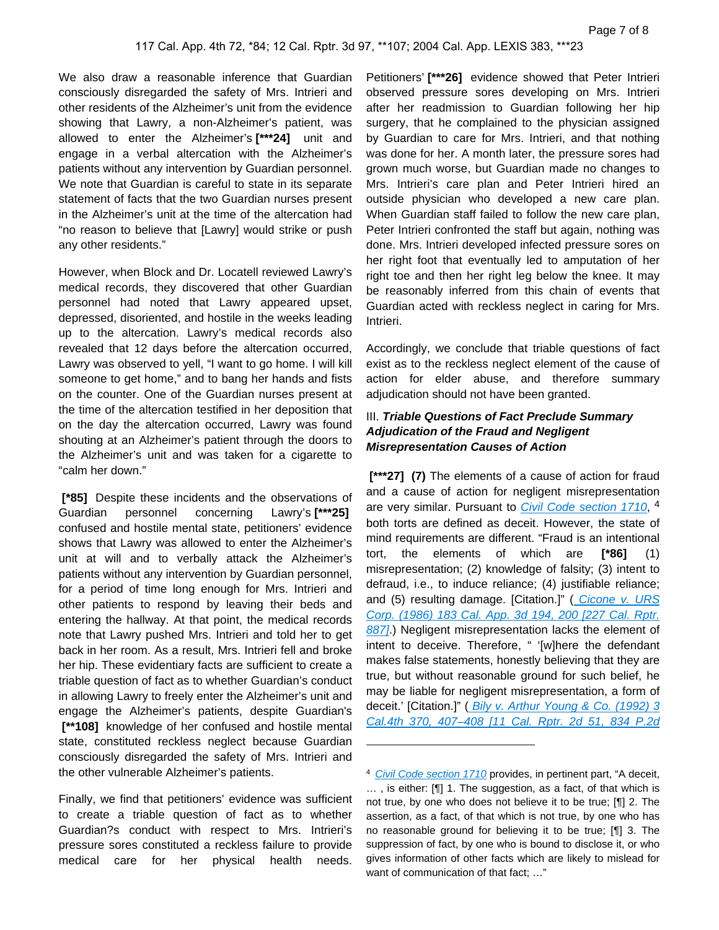We also draw a reasonable inference that Guardian consciously disregarded the safety of Mrs. Intrieri and other residents of the Alzheimer's unit from the evidence showing that Lawry, a non-Alzheimer's patient, was allowed to enter the Alzheimer's **[\*\*\*24]** unit and engage in a verbal altercation with the Alzheimer's patients without any intervention by Guardian personnel. We note that Guardian is careful to state in its separate statement of facts that the two Guardian nurses present in the Alzheimer's unit at the time of the altercation had "no reason to believe that [Lawry] would strike or push any other residents."

However, when Block and Dr. Locatell reviewed Lawry's medical records, they discovered that other Guardian personnel had noted that Lawry appeared upset, depressed, disoriented, and hostile in the weeks leading up to the altercation. Lawry's medical records also revealed that 12 days before the altercation occurred, Lawry was observed to yell, "I want to go home. I will kill someone to get home," and to bang her hands and fists on the counter. One of the Guardian nurses present at the time of the altercation testified in her deposition that on the day the altercation occurred, Lawry was found shouting at an Alzheimer's patient through the doors to the Alzheimer's unit and was taken for a cigarette to "calm her down."

 **[\*85]** Despite these incidents and the observations of Guardian personnel concerning Lawry's **[\*\*\*25]**  confused and hostile mental state, petitioners' evidence shows that Lawry was allowed to enter the Alzheimer's unit at will and to verbally attack the Alzheimer's patients without any intervention by Guardian personnel, for a period of time long enough for Mrs. Intrieri and other patients to respond by leaving their beds and entering the hallway. At that point, the medical records note that Lawry pushed Mrs. Intrieri and told her to get back in her room. As a result, Mrs. Intrieri fell and broke her hip. These evidentiary facts are sufficient to create a triable question of fact as to whether Guardian's conduct in allowing Lawry to freely enter the Alzheimer's unit and engage the Alzheimer's patients, despite Guardian's  **[\*\*108]** knowledge of her confused and hostile mental state, constituted reckless neglect because Guardian consciously disregarded the safety of Mrs. Intrieri and the other vulnerable Alzheimer's patients.

Finally, we find that petitioners' evidence was sufficient to create a triable question of fact as to whether Guardian?s conduct with respect to Mrs. Intrieri's pressure sores constituted a reckless failure to provide medical care for her physical health needs.

Petitioners' **[\*\*\*26]** evidence showed that Peter Intrieri observed pressure sores developing on Mrs. Intrieri after her readmission to Guardian following her hip surgery, that he complained to the physician assigned by Guardian to care for Mrs. Intrieri, and that nothing was done for her. A month later, the pressure sores had grown much worse, but Guardian made no changes to Mrs. Intrieri's care plan and Peter Intrieri hired an outside physician who developed a new care plan. When Guardian staff failed to follow the new care plan, Peter Intrieri confronted the staff but again, nothing was done. Mrs. Intrieri developed infected pressure sores on her right foot that eventually led to amputation of her right toe and then her right leg below the knee. It may be reasonably inferred from this chain of events that Guardian acted with reckless neglect in caring for Mrs. Intrieri.

Accordingly, we conclude that triable questions of fact exist as to the reckless neglect element of the cause of action for elder abuse, and therefore summary adjudication should not have been granted.

## III. **Triable Questions of Fact Preclude Summary Adjudication of the Fraud and Negligent Misrepresentation Causes of Action**

 **[\*\*\*27] (7)** The elements of a cause of action for fraud and a cause of action for negligent misrepresentation are very similar. Pursuant to *[Civil Code section 1710](https://plus.lexis.com/api/document?collection=statutes-legislation&id=urn:contentItem:5J6R-DR41-66B9-80JD-00000-00&context=1530671)*, <sup>4</sup> both torts are defined as deceit. However, the state of mind requirements are different. "Fraud is an intentional tort, the elements of which are **[\*86]** (1) misrepresentation; (2) knowledge of falsity; (3) intent to defraud, i.e., to induce reliance; (4) justifiable reliance; and (5) resulting damage. [Citation.]" ( Cicone v. URS [Corp. \(1986\) 183 Cal. App. 3d 194, 200 \[227 Cal. Rptr.](https://plus.lexis.com/api/document?collection=cases&id=urn:contentItem:3RX6-K2P0-003D-J33W-00000-00&context=1530671)  [887\]](https://plus.lexis.com/api/document?collection=cases&id=urn:contentItem:3RX6-K2P0-003D-J33W-00000-00&context=1530671).) Negligent misrepresentation lacks the element of intent to deceive. Therefore, " '[w]here the defendant makes false statements, honestly believing that they are true, but without reasonable ground for such belief, he may be liable for negligent misrepresentation, a form of deceit.' [Citation.]" ( [Bily v. Arthur Young & Co. \(1992\) 3](https://plus.lexis.com/api/document?collection=cases&id=urn:contentItem:3RX4-6PY0-003D-J4P1-00000-00&context=1530671)  [Cal.4th 370, 407–408 \[11 Cal. Rptr. 2d 51, 834 P.2d](https://plus.lexis.com/api/document?collection=cases&id=urn:contentItem:3RX4-6PY0-003D-J4P1-00000-00&context=1530671) 

<sup>&</sup>lt;sup>4</sup> [Civil Code section 1710](https://plus.lexis.com/api/document?collection=statutes-legislation&id=urn:contentItem:5J6R-DR41-66B9-80JD-00000-00&context=1530671) provides, in pertinent part, "A deceit, … , is either: [¶] 1. The suggestion, as a fact, of that which is not true, by one who does not believe it to be true; [¶] 2. The assertion, as a fact, of that which is not true, by one who has no reasonable ground for believing it to be true; [¶] 3. The suppression of fact, by one who is bound to disclose it, or who gives information of other facts which are likely to mislead for want of communication of that fact; …"